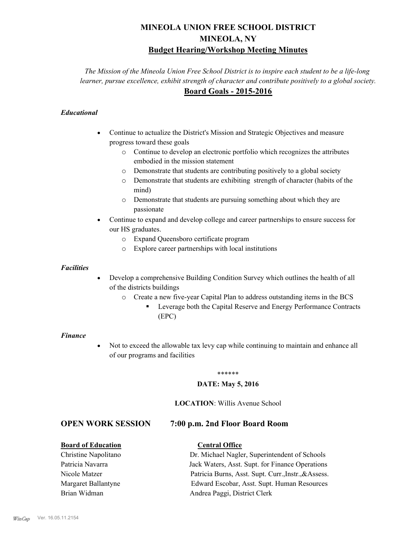## **MINEOLA UNION FREE SCHOOL DISTRICT MINEOLA, NY Budget Hearing/Workshop Meeting Minutes**

*The Mission of the Mineola Union Free School District is to inspire each student to be a life-long learner, pursue excellence, exhibit strength of character and contribute positively to a global society.* **Board Goals - 2015-2016**

#### *Educational*

- · Continue to actualize the District's Mission and Strategic Objectives and measure progress toward these goals
	- o Continue to develop an electronic portfolio which recognizes the attributes embodied in the mission statement
	- o Demonstrate that students are contributing positively to a global society
	- o Demonstrate that students are exhibiting strength of character (habits of the mind)
	- o Demonstrate that students are pursuing something about which they are passionate
- Continue to expand and develop college and career partnerships to ensure success for our HS graduates.
	- o Expand Queensboro certificate program
	- o Explore career partnerships with local institutions

#### *Facilities*

- Develop a comprehensive Building Condition Survey which outlines the health of all of the districts buildings
	- o Create a new five-year Capital Plan to address outstanding items in the BCS
		- § Leverage both the Capital Reserve and Energy Performance Contracts (EPC)

#### *Finance*

• Not to exceed the allowable tax levy cap while continuing to maintain and enhance all of our programs and facilities

#### \*\*\*\*\*\*

#### **DATE: May 5, 2016**

#### **LOCATION**: Willis Avenue School

#### **OPEN WORK SESSION 7:00 p.m. 2nd Floor Board Room**

#### **Board of Education Central Office**

### Christine Napolitano Dr. Michael Nagler, Superintendent of Schools Patricia Navarra Jack Waters, Asst. Supt. for Finance Operations Nicole Matzer Patricia Burns, Asst. Supt. Curr.,Instr.,&Assess. Margaret Ballantyne Edward Escobar, Asst. Supt. Human Resources Brian Widman **Andrea Paggi, District Clerk**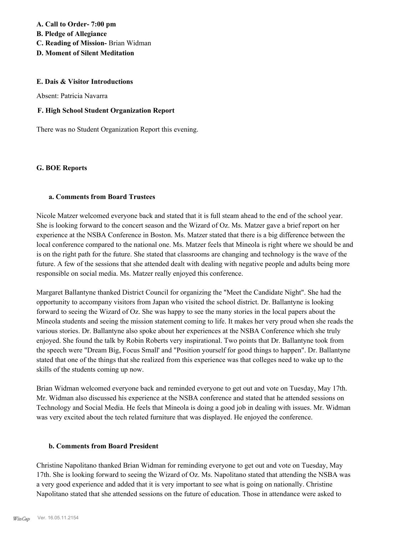**A. Call to Order- 7:00 pm B. Pledge of Allegiance C. Reading of Mission-** Brian Widman **D. Moment of Silent Meditation**

# **E. Dais & Visitor Introductions**

Absent: Patricia Navarra

#### **F. High School Student Organization Report**

There was no Student Organization Report this evening.

#### **G. BOE Reports**

#### **a. Comments from Board Trustees**

Nicole Matzer welcomed everyone back and stated that it is full steam ahead to the end of the school year. She is looking forward to the concert season and the Wizard of Oz. Ms. Matzer gave a brief report on her experience at the NSBA Conference in Boston. Ms. Matzer stated that there is a big difference between the local conference compared to the national one. Ms. Matzer feels that Mineola is right where we should be and is on the right path for the future. She stated that classrooms are changing and technology is the wave of the future. A few of the sessions that she attended dealt with dealing with negative people and adults being more responsible on social media. Ms. Matzer really enjoyed this conference.

Margaret Ballantyne thanked District Council for organizing the "Meet the Candidate Night". She had the opportunity to accompany visitors from Japan who visited the school district. Dr. Ballantyne is looking forward to seeing the Wizard of Oz. She was happy to see the many stories in the local papers about the Mineola students and seeing the mission statement coming to life. It makes her very proud when she reads the various stories. Dr. Ballantyne also spoke about her experiences at the NSBA Conference which she truly enjoyed. She found the talk by Robin Roberts very inspirational. Two points that Dr. Ballantyne took from the speech were "Dream Big, Focus Small' and "Position yourself for good things to happen". Dr. Ballantyne stated that one of the things that she realized from this experience was that colleges need to wake up to the skills of the students coming up now.

Brian Widman welcomed everyone back and reminded everyone to get out and vote on Tuesday, May 17th. Mr. Widman also discussed his experience at the NSBA conference and stated that he attended sessions on Technology and Social Media. He feels that Mineola is doing a good job in dealing with issues. Mr. Widman was very excited about the tech related furniture that was displayed. He enjoyed the conference.

#### **b. Comments from Board President**

Christine Napolitano thanked Brian Widman for reminding everyone to get out and vote on Tuesday, May 17th. She is looking forward to seeing the Wizard of Oz. Ms. Napolitano stated that attending the NSBA was a very good experience and added that it is very important to see what is going on nationally. Christine Napolitano stated that she attended sessions on the future of education. Those in attendance were asked to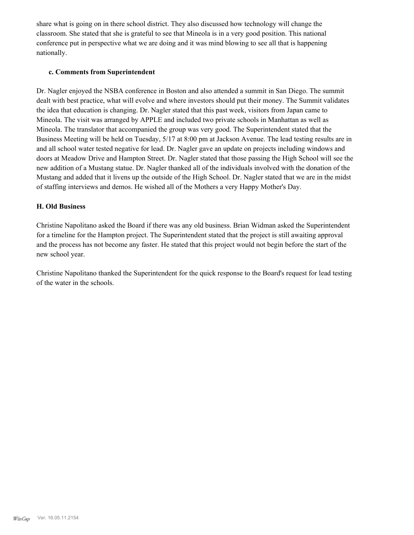share what is going on in there school district. They also discussed how technology will change the classroom. She stated that she is grateful to see that Mineola is in a very good position. This national conference put in perspective what we are doing and it was mind blowing to see all that is happening nationally.

#### **c. Comments from Superintendent**

Dr. Nagler enjoyed the NSBA conference in Boston and also attended a summit in San Diego. The summit dealt with best practice, what will evolve and where investors should put their money. The Summit validates the idea that education is changing. Dr. Nagler stated that this past week, visitors from Japan came to Mineola. The visit was arranged by APPLE and included two private schools in Manhattan as well as Mineola. The translator that accompanied the group was very good. The Superintendent stated that the Business Meeting will be held on Tuesday, 5/17 at 8:00 pm at Jackson Avenue. The lead testing results are in and all school water tested negative for lead. Dr. Nagler gave an update on projects including windows and doors at Meadow Drive and Hampton Street. Dr. Nagler stated that those passing the High School will see the new addition of a Mustang statue. Dr. Nagler thanked all of the individuals involved with the donation of the Mustang and added that it livens up the outside of the High School. Dr. Nagler stated that we are in the midst of staffing interviews and demos. He wished all of the Mothers a very Happy Mother's Day.

#### **H. Old Business**

Christine Napolitano asked the Board if there was any old business. Brian Widman asked the Superintendent for a timeline for the Hampton project. The Superintendent stated that the project is still awaiting approval and the process has not become any faster. He stated that this project would not begin before the start of the new school year.

Christine Napolitano thanked the Superintendent for the quick response to the Board's request for lead testing of the water in the schools.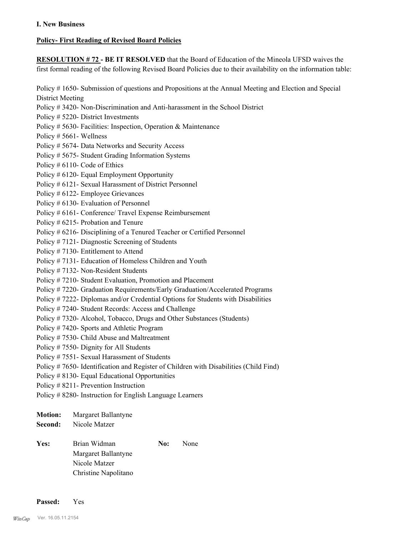#### **I. New Business**

#### **Policy- First Reading of Revised Board Policies**

**RESOLUTION # 72 - BE IT RESOLVED** that the Board of Education of the Mineola UFSD waives the first formal reading of the following Revised Board Policies due to their availability on the information table:

Policy # 1650- Submission of questions and Propositions at the Annual Meeting and Election and Special District Meeting Policy # 3420- Non-Discrimination and Anti-harassment in the School District Policy # 5220- District Investments Policy # 5630- Facilities: Inspection, Operation & Maintenance Policy # 5661- Wellness Policy # 5674- Data Networks and Security Access Policy # 5675- Student Grading Information Systems Policy # 6110- Code of Ethics Policy # 6120- Equal Employment Opportunity Policy # 6121- Sexual Harassment of District Personnel Policy # 6122- Employee Grievances Policy # 6130- Evaluation of Personnel Policy # 6161- Conference/ Travel Expense Reimbursement Policy # 6215- Probation and Tenure Policy # 6216- Disciplining of a Tenured Teacher or Certified Personnel Policy # 7121- Diagnostic Screening of Students Policy # 7130- Entitlement to Attend Policy # 7131- Education of Homeless Children and Youth Policy # 7132- Non-Resident Students Policy # 7210- Student Evaluation, Promotion and Placement Policy # 7220- Graduation Requirements/Early Graduation/Accelerated Programs Policy # 7222- Diplomas and/or Credential Options for Students with Disabilities Policy # 7240- Student Records: Access and Challenge Policy # 7320- Alcohol, Tobacco, Drugs and Other Substances (Students) Policy # 7420- Sports and Athletic Program Policy # 7530- Child Abuse and Maltreatment Policy # 7550- Dignity for All Students Policy # 7551- Sexual Harassment of Students Policy # 7650- Identification and Register of Children with Disabilities (Child Find) Policy # 8130- Equal Educational Opportunities Policy # 8211- Prevention Instruction Policy # 8280- Instruction for English Language Learners **Motion:** Margaret Ballantyne **Second:** Nicole Matzer

Yes: Brian Widman **No:** None Margaret Ballantyne Nicole Matzer Christine Napolitano

**Passed:** Yes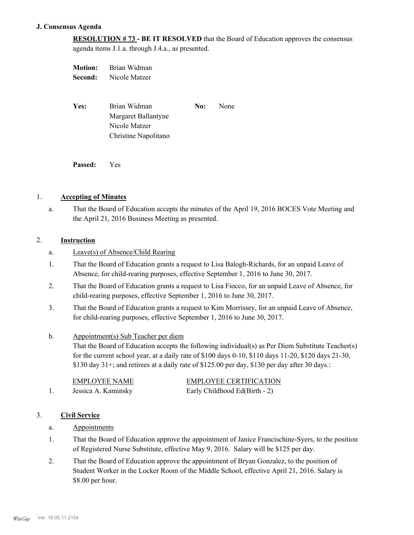#### **J. Consensus Agenda**

**RESOLUTION # 73 - BE IT RESOLVED** that the Board of Education approves the consensus agenda items J.1.a. through J.4.a., as presented.

| Motion: | Brian Widman         |     |      |
|---------|----------------------|-----|------|
| Second: | Nicole Matzer        |     |      |
|         |                      |     |      |
|         |                      |     |      |
| Yes:    | Brian Widman         | No: | None |
|         | Margaret Ballantyne  |     |      |
|         | Nicole Matzer        |     |      |
|         | Christine Napolitano |     |      |
|         |                      |     |      |
|         |                      |     |      |

**Passed:** Yes

#### 1. **Accepting of Minutes**

That the Board of Education accepts the minutes of the April 19, 2016 BOCES Vote Meeting and the April 21, 2016 Business Meeting as presented. a.

#### 2. **Instruction**

- a. Leave(s) of Absence/Child Rearing
- That the Board of Education grants a request to Lisa Balogh-Richards, for an unpaid Leave of Absence, for child-rearing purposes, effective September 1, 2016 to June 30, 2017. 1.
- That the Board of Education grants a request to Lisa Fiocco, for an unpaid Leave of Absence, for child-rearing purposes, effective September 1, 2016 to June 30, 2017. 2.
- That the Board of Education grants a request to Kim Morrissey, for an unpaid Leave of Absence, for child-rearing purposes, effective September 1, 2016 to June 30, 2017. 3.
- Appointment(s) Sub Teacher per diem b.
	- That the Board of Education accepts the following individual(s) as Per Diem Substitute Teacher(s) for the current school year, at a daily rate of \$100 days 0-10, \$110 days 11-20, \$120 days 21-30, \$130 day  $31+$ ; and retirees at a daily rate of \$125.00 per day, \$130 per day after 30 days.:

| EMPLOYEE NAME       | <b>EMPLOYEE CERTIFICATION</b> |
|---------------------|-------------------------------|
| Jessica A. Kaminsky | Early Childhood Ed(Birth - 2) |

#### 3. **Civil Service**

- a. Appointments
- That the Board of Education approve the appointment of Janice Francischine-Syers, to the position of Registered Nurse Substitute, effective May 9, 2016. Salary will be \$125 per day. 1.
- That the Board of Education approve the appointment of Bryan Gonzalez, to the position of Student Worker in the Locker Room of the Middle School, effective April 21, 2016. Salary is \$8.00 per hour. 2.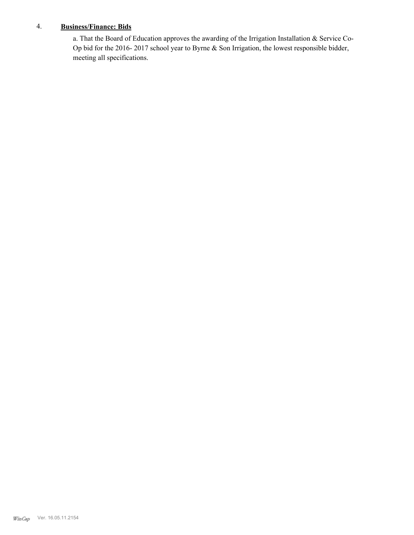#### 4. **Business/Finance: Bids**

a. That the Board of Education approves the awarding of the Irrigation Installation & Service Co-Op bid for the 2016- 2017 school year to Byrne & Son Irrigation, the lowest responsible bidder, meeting all specifications.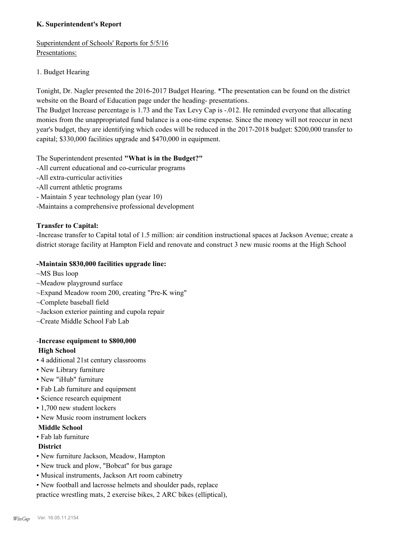#### **K. Superintendent's Report**

Superintendent of Schools' Reports for 5/5/16 Presentations:

#### 1. Budget Hearing

Tonight, Dr. Nagler presented the 2016-2017 Budget Hearing. \*The presentation can be found on the district website on the Board of Education page under the heading- presentations.

The Budget Increase percentage is 1.73 and the Tax Levy Cap is -.012. He reminded everyone that allocating monies from the unappropriated fund balance is a one-time expense. Since the money will not reoccur in next year's budget, they are identifying which codes will be reduced in the 2017-2018 budget: \$200,000 transfer to capital; \$330,000 facilities upgrade and \$470,000 in equipment.

The Superintendent presented **"What is in the Budget?"**

- -All current educational and co-curricular programs
- -All extra-curricular activities
- -All current athletic programs
- Maintain 5 year technology plan (year 10)
- -Maintains a comprehensive professional development

#### **Transfer to Capital:**

-Increase transfer to Capital total of 1.5 million: air condition instructional spaces at Jackson Avenue; create a district storage facility at Hampton Field and renovate and construct 3 new music rooms at the High School

#### **-Maintain \$830,000 facilities upgrade line:**

- ~MS Bus loop
- ~Meadow playground surface
- ~Expand Meadow room 200, creating "Pre-K wing"
- ~Complete baseball field
- ~Jackson exterior painting and cupola repair
- ~Create Middle School Fab Lab

# -**Increase equipment to \$800,000**

#### **High School**

- 4 additional 21st century classrooms
- New Library furniture
- New "iHub" furniture
- Fab Lab furniture and equipment
- Science research equipment
- 1,700 new student lockers
- New Music room instrument lockers

#### **Middle School**

• Fab lab furniture

#### **District**

- New furniture Jackson, Meadow, Hampton
- New truck and plow, "Bobcat" for bus garage
- Musical instruments, Jackson Art room cabinetry
- New football and lacrosse helmets and shoulder pads, replace

practice wrestling mats, 2 exercise bikes, 2 ARC bikes (elliptical),